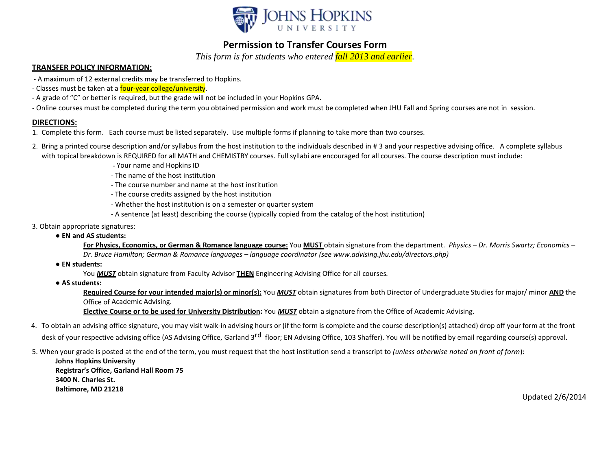

## **Permission to Transfer Courses Form**

*This form is for students who entered fall 2013 and earlier.*

## **TRANSFER POLICY INFORMATION:**

- A maximum of 12 external credits may be transferred to Hopkins.
- Classes must be taken at a *four-year college/university*.
- A grade of "C" or better is required, but the grade will not be included in your Hopkins GPA.
- Online courses must be completed during the term you obtained permission and work must be completed when JHU Fall and Spring courses are not in session.

## **DIRECTIONS:**

- 1. Complete this form. Each course must be listed separately. Use multiple forms if planning to take more than two courses.
- 2. Bring a printed course description and/or syllabus from the host institution to the individuals described in # 3 and your respective advising office. A complete syllabus with topical breakdown is REQUIRED for all MATH and CHEMISTRY courses. Full syllabi are encouraged for all courses. The course description must include:
	- Your name and Hopkins ID
	- The name of the host institution
	- The course number and name at the host institution
	- The course credits assigned by the host institution
	- Whether the host institution is on a semester or quarter system
	- A sentence (at least) describing the course (typically copied from the catalog of the host institution)
- 3. Obtain appropriate signatures:
	- **EN and AS students:**

For Physics, Economics, or German & Romance language course: You MUST obtain signature from the department. Physics - Dr. Morris Swartz; Economics -*Dr. Bruce Hamilton; German & Romance languages – language coordinator (see [www.advising.jhu.edu/directors.php\)](http://www.advising.jhu.edu/directors.php))*

● **EN students:**

You *MUST* obtain signature from Faculty Advisor **THEN** Engineering Advising Office for all courses*.*

● **AS students:**

**Required Course for your intended major(s) or minor(s):** You *MUST* obtain signatures from both Director of Undergraduate Studies for major/ minor **AND** the Office of Academic Advising.

**Elective Course or to be used for University Distribution:** You *MUST* obtain a signature from the Office of Academic Advising.

- 4. To obtain an advising office signature, you may visit walk-in advising hours or (if the form is complete and the course description(s) attached) drop off your form at the front desk of your respective advising office (AS Advising Office, Garland 3<sup>rd</sup> floor; EN Advising Office, 103 Shaffer). You will be notified by email regarding course(s) approval.
- 5. When your grade is posted at the end of the term, you must request that the host institution send a transcript to *(unless otherwise noted on front of form*):

**Johns Hopkins University Registrar's Office, Garland Hall Room 75 3400 N. Charles St. Baltimore, MD 21218**

Updated 2/6/2014